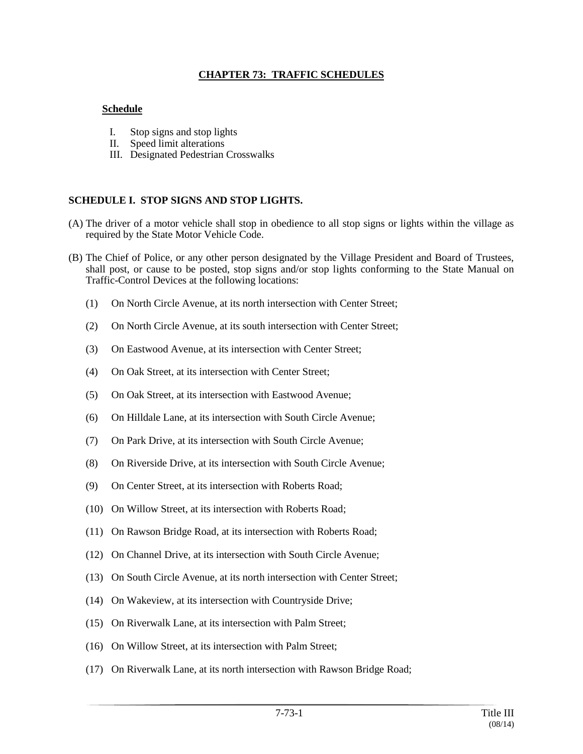## **CHAPTER 73: TRAFFIC SCHEDULES**

## **Schedule**

- I. Stop signs and stop lights
- II. Speed limit alterations
- III. Designated Pedestrian Crosswalks

### **SCHEDULE I. STOP SIGNS AND STOP LIGHTS.**

- (A) The driver of a motor vehicle shall stop in obedience to all stop signs or lights within the village as required by the State Motor Vehicle Code.
- (B) The Chief of Police, or any other person designated by the Village President and Board of Trustees, shall post, or cause to be posted, stop signs and/or stop lights conforming to the State Manual on Traffic-Control Devices at the following locations:
	- (1) On North Circle Avenue, at its north intersection with Center Street;
	- (2) On North Circle Avenue, at its south intersection with Center Street;
	- (3) On Eastwood Avenue, at its intersection with Center Street;
	- (4) On Oak Street, at its intersection with Center Street;
	- (5) On Oak Street, at its intersection with Eastwood Avenue;
	- (6) On Hilldale Lane, at its intersection with South Circle Avenue;
	- (7) On Park Drive, at its intersection with South Circle Avenue;
	- (8) On Riverside Drive, at its intersection with South Circle Avenue;
	- (9) On Center Street, at its intersection with Roberts Road;
	- (10) On Willow Street, at its intersection with Roberts Road;
	- (11) On Rawson Bridge Road, at its intersection with Roberts Road;
	- (12) On Channel Drive, at its intersection with South Circle Avenue;
	- (13) On South Circle Avenue, at its north intersection with Center Street;
	- (14) On Wakeview, at its intersection with Countryside Drive;
	- (15) On Riverwalk Lane, at its intersection with Palm Street;
	- (16) On Willow Street, at its intersection with Palm Street;
	- (17) On Riverwalk Lane, at its north intersection with Rawson Bridge Road;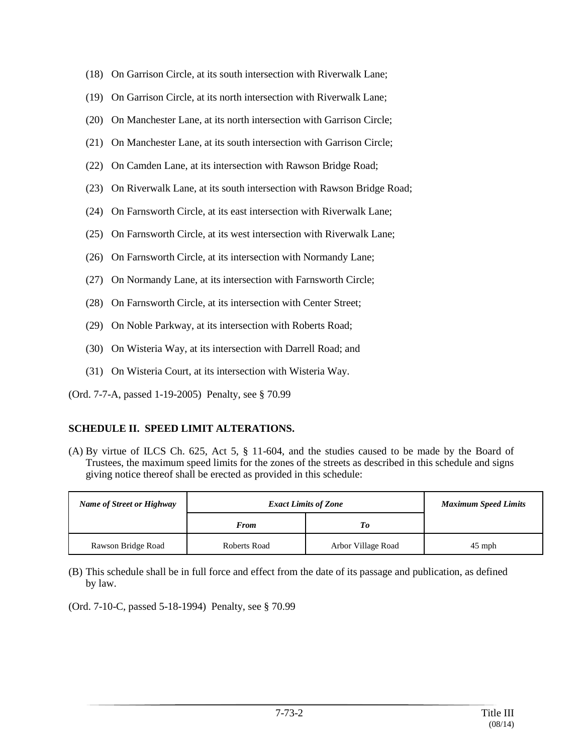- (18) On Garrison Circle, at its south intersection with Riverwalk Lane;
- (19) On Garrison Circle, at its north intersection with Riverwalk Lane;
- (20) On Manchester Lane, at its north intersection with Garrison Circle;
- (21) On Manchester Lane, at its south intersection with Garrison Circle;
- (22) On Camden Lane, at its intersection with Rawson Bridge Road;
- (23) On Riverwalk Lane, at its south intersection with Rawson Bridge Road;
- (24) On Farnsworth Circle, at its east intersection with Riverwalk Lane;
- (25) On Farnsworth Circle, at its west intersection with Riverwalk Lane;
- (26) On Farnsworth Circle, at its intersection with Normandy Lane;
- (27) On Normandy Lane, at its intersection with Farnsworth Circle;
- (28) On Farnsworth Circle, at its intersection with Center Street;
- (29) On Noble Parkway, at its intersection with Roberts Road;
- (30) On Wisteria Way, at its intersection with Darrell Road; and
- (31) On Wisteria Court, at its intersection with Wisteria Way.
- (Ord. 7-7-A, passed 1-19-2005) Penalty, see § 70.99

#### **SCHEDULE II. SPEED LIMIT ALTERATIONS.**

(A) By virtue of ILCS Ch. 625, Act 5, § 11-604, and the studies caused to be made by the Board of Trustees, the maximum speed limits for the zones of the streets as described in this schedule and signs giving notice thereof shall be erected as provided in this schedule:

| Name of Street or Highway | <b>Exact Limits of Zone</b> |                    | <b>Maximum Speed Limits</b> |
|---------------------------|-----------------------------|--------------------|-----------------------------|
|                           | <b>From</b>                 | To                 |                             |
| Rawson Bridge Road        | Roberts Road                | Arbor Village Road | $45$ mph                    |

(B) This schedule shall be in full force and effect from the date of its passage and publication, as defined by law.

(Ord. 7-10-C, passed 5-18-1994) Penalty, see § 70.99